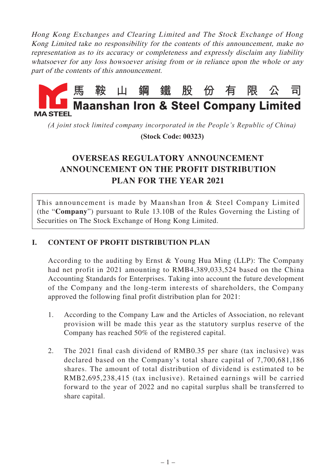Hong Kong Exchanges and Clearing Limited and The Stock Exchange of Hong Kong Limited take no responsibility for the contents of this announcement, make no representation as to its accuracy or completeness and expressly disclaim any liability whatsoever for any loss howsoever arising from or in reliance upon the whole or any part of the contents of this announcement.



*(A joint stock limited company incorporated in the People's Republic of China)*

 **(Stock Code: 00323)**

# **OVERSEAS REGULATORY ANNOUNCEMENT ANNOUNCEMENT ON THE PROFIT DISTRIBUTION PLAN FOR THE YEAR 2021**

This announcement is made by Maanshan Iron & Steel Company Limited (the "**Company**") pursuant to Rule 13.10B of the Rules Governing the Listing of Securities on The Stock Exchange of Hong Kong Limited.

# **I. CONTENT OF PROFIT DISTRIBUTION PLAN**

According to the auditing by Ernst & Young Hua Ming (LLP): The Company had net profit in 2021 amounting to RMB4,389,033,524 based on the China Accounting Standards for Enterprises. Taking into account the future development of the Company and the long-term interests of shareholders, the Company approved the following final profit distribution plan for 2021:

- 1. According to the Company Law and the Articles of Association, no relevant provision will be made this year as the statutory surplus reserve of the Company has reached 50% of the registered capital.
- 2. The 2021 final cash dividend of RMB0.35 per share (tax inclusive) was declared based on the Company's total share capital of 7,700,681,186 shares. The amount of total distribution of dividend is estimated to be RMB2,695,238,415 (tax inclusive). Retained earnings will be carried forward to the year of 2022 and no capital surplus shall be transferred to share capital.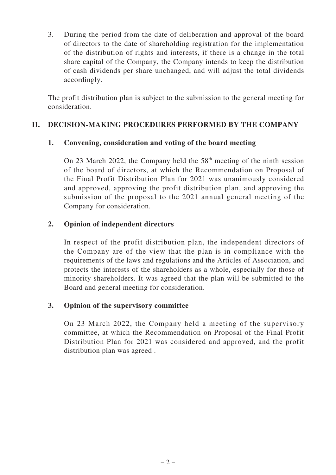3. During the period from the date of deliberation and approval of the board of directors to the date of shareholding registration for the implementation of the distribution of rights and interests, if there is a change in the total share capital of the Company, the Company intends to keep the distribution of cash dividends per share unchanged, and will adjust the total dividends accordingly.

The profit distribution plan is subject to the submission to the general meeting for consideration.

## **II. DECISION-MAKING PROCEDURES PERFORMED BY THE COMPANY**

## **1. Convening, consideration and voting of the board meeting**

On 23 March 2022, the Company held the  $58<sup>th</sup>$  meeting of the ninth session of the board of directors, at which the Recommendation on Proposal of the Final Profit Distribution Plan for 2021 was unanimously considered and approved, approving the profit distribution plan, and approving the submission of the proposal to the 2021 annual general meeting of the Company for consideration.

## **2. Opinion of independent directors**

In respect of the profit distribution plan, the independent directors of the Company are of the view that the plan is in compliance with the requirements of the laws and regulations and the Articles of Association, and protects the interests of the shareholders as a whole, especially for those of minority shareholders. It was agreed that the plan will be submitted to the Board and general meeting for consideration.

## **3. Opinion of the supervisory committee**

On 23 March 2022, the Company held a meeting of the supervisory committee, at which the Recommendation on Proposal of the Final Profit Distribution Plan for 2021 was considered and approved, and the profit distribution plan was agreed .